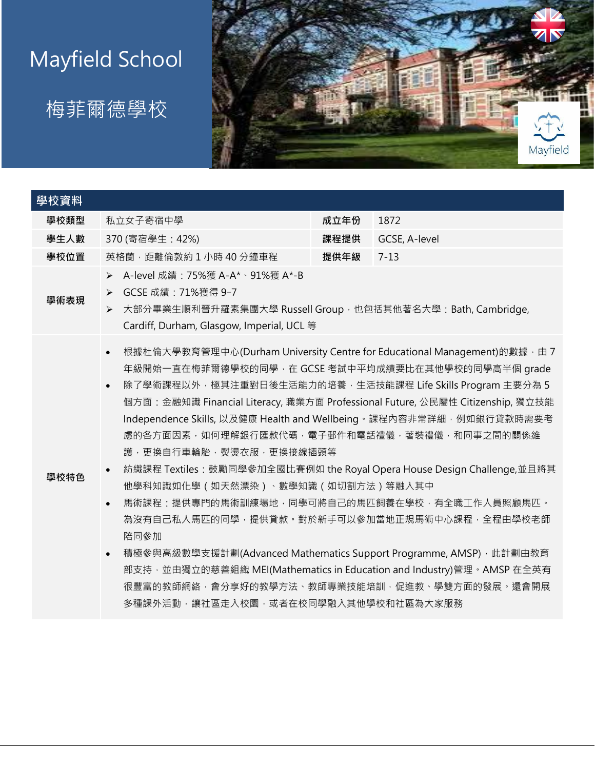## Mayfield School

## 梅菲爾德學校



| 學校資料 |                                                                                                                                                                                                                                                                                                                                                                                                                                                                                                                                                                                                                                                                                                                                                                                                                                                                                                                                                                |      |               |  |  |
|------|----------------------------------------------------------------------------------------------------------------------------------------------------------------------------------------------------------------------------------------------------------------------------------------------------------------------------------------------------------------------------------------------------------------------------------------------------------------------------------------------------------------------------------------------------------------------------------------------------------------------------------------------------------------------------------------------------------------------------------------------------------------------------------------------------------------------------------------------------------------------------------------------------------------------------------------------------------------|------|---------------|--|--|
| 學校類型 | 私立女子寄宿中學                                                                                                                                                                                                                                                                                                                                                                                                                                                                                                                                                                                                                                                                                                                                                                                                                                                                                                                                                       | 成立年份 | 1872          |  |  |
| 學生人數 | 370 (寄宿學生: 42%)                                                                                                                                                                                                                                                                                                                                                                                                                                                                                                                                                                                                                                                                                                                                                                                                                                                                                                                                                | 課程提供 | GCSE, A-level |  |  |
| 學校位置 | 英格蘭, 距離倫敦約1小時40分鐘車程                                                                                                                                                                                                                                                                                                                                                                                                                                                                                                                                                                                                                                                                                                                                                                                                                                                                                                                                            | 提供年級 | $7 - 13$      |  |  |
| 學術表現 | A-level 成績: 75%獲 A-A*、91%獲 A*-B<br>$\blacktriangleright$<br>GCSE 成績: 71%獲得 9-7<br>$\blacktriangleright$<br>大部分畢業生順利晉升羅素集團大學 Russell Group, 也包括其他著名大學: Bath, Cambridge,<br>$\blacktriangleright$<br>Cardiff, Durham, Glasgow, Imperial, UCL 等                                                                                                                                                                                                                                                                                                                                                                                                                                                                                                                                                                                                                                                                                                                   |      |               |  |  |
| 學校特色 | 根據杜倫大學教育管理中心(Durham University Centre for Educational Management)的數據,由7<br>$\bullet$<br>年級開始一直在梅菲爾德學校的同學, 在 GCSE 考試中平均成績要比在其他學校的同學高半個 grade<br>除了學術課程以外,極其注重對日後生活能力的培養,生活技能課程 Life Skills Program 主要分為 5<br>$\bullet$<br>個方面:金融知識 Financial Literacy, 職業方面 Professional Future, 公民屬性 Citizenship, 獨立技能<br>Independence Skills, 以及健康 Health and Wellbeing · 課程內容非常詳細, 例如銀行貸款時需要考<br>慮的各方面因素,如何理解銀行匯款代碼,電子郵件和電話禮儀,著裝禮儀,和同事之間的關係維<br>護,更換自行車輪胎,熨燙衣服,更換接線插頭等<br>紡織課程 Textiles: 鼓勵同學參加全國比賽例如 the Royal Opera House Design Challenge,並且將其<br>$\bullet$<br>他學科知識如化學 (如天然漂染)、數學知識 (如切割方法) 等融入其中<br>馬術課程:提供專門的馬術訓練場地,同學可將自己的馬匹飼養在學校,有全職工作人員照顧馬匹。<br>$\bullet$<br>為沒有自己私人馬匹的同學,提供貸款。對於新手可以參加當地正規馬術中心課程,全程由學校老師<br>陪同參加<br>積極參與高級數學支援計劃(Advanced Mathematics Support Programme, AMSP), 此計劃由教育<br>$\bullet$<br>部支持,並由獨立的慈善組織 MEI(Mathematics in Education and Industry)管理。AMSP 在全英有<br>很豐富的教師網絡,會分享好的教學方法、教師專業技能培訓,促進教、學雙方面的發展。還會開展<br>多種課外活動,讓社區走入校園,或者在校同學融入其他學校和社區為大家服務 |      |               |  |  |